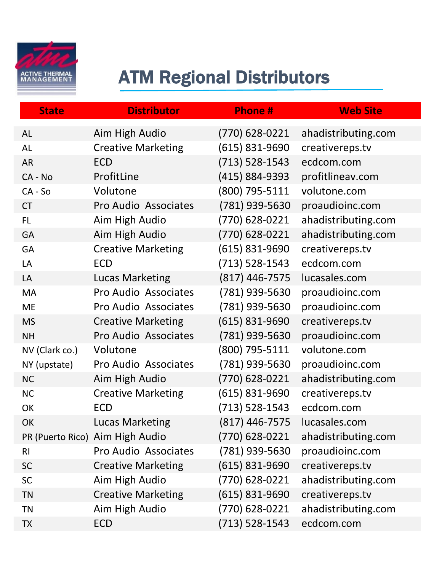

## ATM Regional Distributors

| <b>State</b>   | <b>Distributor</b>              | <b>Phone#</b>      | <b>Web Site</b>     |
|----------------|---------------------------------|--------------------|---------------------|
| <b>AL</b>      | Aim High Audio                  | (770) 628-0221     | ahadistributing.com |
| <b>AL</b>      | <b>Creative Marketing</b>       | (615) 831-9690     | creativereps.tv     |
| <b>AR</b>      | <b>ECD</b>                      | $(713) 528 - 1543$ | ecdcom.com          |
| CA - No        | ProfitLine                      | (415) 884-9393     | profitlineav.com    |
| $CA - So$      | Volutone                        | (800) 795-5111     | volutone.com        |
| <b>CT</b>      | Pro Audio Associates            | (781) 939-5630     | proaudioinc.com     |
| <b>FL</b>      | Aim High Audio                  | (770) 628-0221     | ahadistributing.com |
| GA             | Aim High Audio                  | (770) 628-0221     | ahadistributing.com |
| GA             | <b>Creative Marketing</b>       | $(615)$ 831-9690   | creativereps.tv     |
| LA             | <b>ECD</b>                      | $(713)$ 528-1543   | ecdcom.com          |
| LA             | <b>Lucas Marketing</b>          | $(817)$ 446-7575   | lucasales.com       |
| MA             | Pro Audio Associates            | (781) 939-5630     | proaudioinc.com     |
| <b>ME</b>      | Pro Audio Associates            | (781) 939-5630     | proaudioinc.com     |
| <b>MS</b>      | <b>Creative Marketing</b>       | (615) 831-9690     | creativereps.tv     |
| <b>NH</b>      | Pro Audio Associates            | (781) 939-5630     | proaudioinc.com     |
| NV (Clark co.) | Volutone                        | (800) 795-5111     | volutone.com        |
| NY (upstate)   | Pro Audio Associates            | (781) 939-5630     | proaudioinc.com     |
| <b>NC</b>      | Aim High Audio                  | (770) 628-0221     | ahadistributing.com |
| <b>NC</b>      | <b>Creative Marketing</b>       | (615) 831-9690     | creativereps.tv     |
| OK             | <b>ECD</b>                      | $(713) 528 - 1543$ | ecdcom.com          |
| <b>OK</b>      | <b>Lucas Marketing</b>          | 817) 446-7575      | lucasales.com       |
|                | PR (Puerto Rico) Aim High Audio | (770) 628-0221     | ahadistributing.com |
| R <sub>l</sub> | Pro Audio Associates            | (781) 939-5630     | proaudioinc.com     |
| SC             | <b>Creative Marketing</b>       | $(615)$ 831-9690   | creativereps.tv     |
| <b>SC</b>      | Aim High Audio                  | (770) 628-0221     | ahadistributing.com |
| <b>TN</b>      | <b>Creative Marketing</b>       | $(615)$ 831-9690   | creativereps.tv     |
| <b>TN</b>      | Aim High Audio                  | (770) 628-0221     | ahadistributing.com |
| <b>TX</b>      | <b>ECD</b>                      | $(713) 528 - 1543$ | ecdcom.com          |